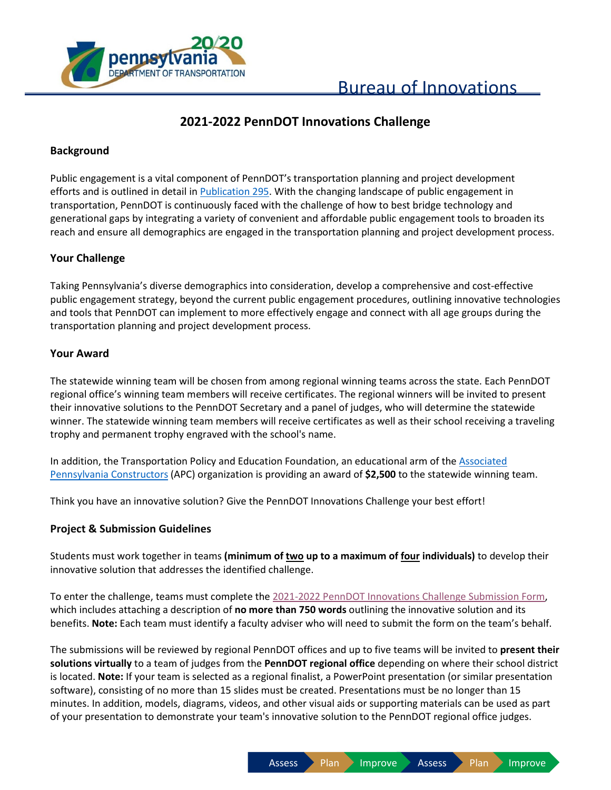

# **2021-2022 PennDOT Innovations Challenge**

# **Background**

Public engagement is a vital component of PennDOT's transportation planning and project development efforts and is outlined in detail in [Publication 295.](https://www.dot.state.pa.us/public/PubsForms/Publications/PUB%20295.pdf) With the changing landscape of public engagement in transportation, PennDOT is continuously faced with the challenge of how to best bridge technology and generational gaps by integrating a variety of convenient and affordable public engagement tools to broaden its reach and ensure all demographics are engaged in the transportation planning and project development process. 

# **Your Challenge**

Taking Pennsylvania's diverse demographics into consideration, develop a comprehensive and cost-effective public engagement strategy, beyond the current public engagement procedures, outlining innovative technologies and tools that PennDOT can implement to more effectively engage and connect with all age groups during the transportation planning and project development process. 

### **Your Award**

The statewide winning team will be chosen from among regional winning teams across the state. Each PennDOT regional office's winning team members will receive certificates. The regional winners will be invited to present their innovative solutions to the PennDOT Secretary and a panel of judges, who will determine the statewide winner. The statewide winning team members will receive certificates as well as their school receiving a traveling trophy and permanent trophy engraved with the school's name.

In addition, the Transportation Policy and Education Foundation, an educational arm of the [Associated](http://www.paconstructors.org/)  [Pennsylvania Constructors](http://www.paconstructors.org/) (APC) organization is providing an award of **\$2,500** to the statewide winning team.

Think you have an innovative solution? Give the PennDOT Innovations Challenge your best effort!

### **Project & Submission Guidelines**

Students must work together in teams **(minimum of two up to a maximum of four individuals)** to develop their innovative solution that addresses the identified challenge.

To enter the challenge, teams must complete the 2021-2022 PennDOT Innovations [Challenge Submission Form,](https://paiedprod.powerappsportals.us/Innovations-Challenge-Submission/) which includes attaching a description of **no more than 750 words** outlining the innovative solution and its benefits. **Note:** Each team must identify a faculty adviser who will need to submit the form on the team's behalf.

The submissions will be reviewed by regional PennDOT offices and up to five teams will be invited to **present their solutions virtually** to a team of judges from the **PennDOT regional office** depending on where their school district is located. **Note:** If your team is selected as a regional finalist, a PowerPoint presentation (or similar presentation software), consisting of no more than 15 slides must be created. Presentations must be no longer than 15 minutes. In addition, models, diagrams, videos, and other visual aids or supporting materials can be used as part of your presentation to demonstrate your team's innovative solution to the PennDOT regional office judges.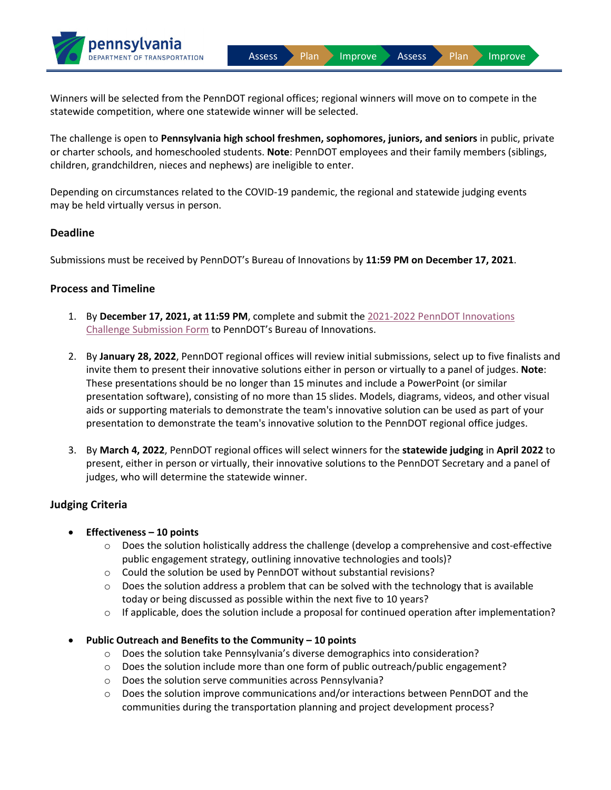Assess Plan Improve Assess Plan Improve

Winners will be selected from the PennDOT regional offices; regional winners will move on to compete in the statewide competition, where one statewide winner will be selected.

The challenge is open to **Pennsylvania high school freshmen, sophomores, juniors, and seniors** in public, private or charter schools, and homeschooled students. **Note**: PennDOT employees and their family members (siblings, children, grandchildren, nieces and nephews) are ineligible to enter.

Depending on circumstances related to the COVID-19 pandemic, the regional and statewide judging events may be held virtually versus in person.

#### **Deadline**

Submissions must be received by PennDOT's Bureau of Innovations by **11:59 PM on December 17, 2021**.

#### **Process and Timeline**

pennsylvania

**TRANSPORTATION** 

- 1. By **December 17, 2021, at 11:59 PM**, complete and submit the 2021-2022 [PennDOT Innovations](https://paiedprod.powerappsportals.us/Innovations-Challenge-Submission/)  [Challenge Submission Form](https://paiedprod.powerappsportals.us/Innovations-Challenge-Submission/) to PennDOT's Bureau of Innovations.
- 2. By **January 28, 2022**, PennDOT regional offices will review initial submissions, select up to five finalists and invite them to present their innovative solutions either in person or virtually to a panel of judges. **Note**: These presentations should be no longer than 15 minutes and include a PowerPoint (or similar presentation software), consisting of no more than 15 slides. Models, diagrams, videos, and other visual aids or supporting materials to demonstrate the team's innovative solution can be used as part of your presentation to demonstrate the team's innovative solution to the PennDOT regional office judges.
- 3. By **March 4, 2022**, PennDOT regional offices will select winners for the **statewide judging** in **April 2022** to present, either in person or virtually, their innovative solutions to the PennDOT Secretary and a panel of judges, who will determine the statewide winner.

### **Judging Criteria**

### • **Effectiveness – 10 points**

- o Does the solution holistically address the challenge (develop a comprehensive and cost-effective public engagement strategy, outlining innovative technologies and tools)?
- o Could the solution be used by PennDOT without substantial revisions?
- $\circ$  Does the solution address a problem that can be solved with the technology that is available today or being discussed as possible within the next five to 10 years?
- $\circ$  If applicable, does the solution include a proposal for continued operation after implementation?
- **Public Outreach and Benefits to the Community – 10 points**
	- o Does the solution take Pennsylvania's diverse demographics into consideration?
	- $\circ$  Does the solution include more than one form of public outreach/public engagement?
	- o Does the solution serve communities across Pennsylvania?
	- o Does the solution improve communications and/or interactions between PennDOT and the communities during the transportation planning and project development process?